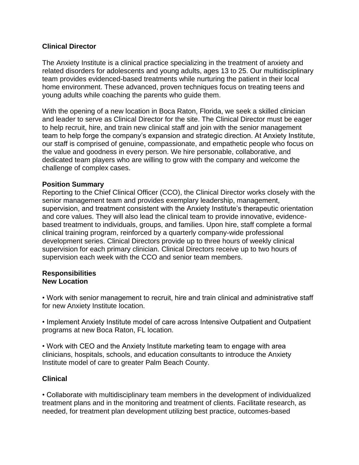## **Clinical Director**

The Anxiety Institute is a clinical practice specializing in the treatment of anxiety and related disorders for adolescents and young adults, ages 13 to 25. Our multidisciplinary team provides evidenced-based treatments while nurturing the patient in their local home environment. These advanced, proven techniques focus on treating teens and young adults while coaching the parents who guide them.

With the opening of a new location in Boca Raton, Florida, we seek a skilled clinician and leader to serve as Clinical Director for the site. The Clinical Director must be eager to help recruit, hire, and train new clinical staff and join with the senior management team to help forge the company's expansion and strategic direction. At Anxiety Institute, our staff is comprised of genuine, compassionate, and empathetic people who focus on the value and goodness in every person. We hire personable, collaborative, and dedicated team players who are willing to grow with the company and welcome the challenge of complex cases.

### **Position Summary**

Reporting to the Chief Clinical Officer (CCO), the Clinical Director works closely with the senior management team and provides exemplary leadership, management, supervision, and treatment consistent with the Anxiety Institute's therapeutic orientation and core values. They will also lead the clinical team to provide innovative, evidencebased treatment to individuals, groups, and families. Upon hire, staff complete a formal clinical training program, reinforced by a quarterly company-wide professional development series. Clinical Directors provide up to three hours of weekly clinical supervision for each primary clinician. Clinical Directors receive up to two hours of supervision each week with the CCO and senior team members.

#### **Responsibilities New Location**

• Work with senior management to recruit, hire and train clinical and administrative staff for new Anxiety Institute location.

• Implement Anxiety Institute model of care across Intensive Outpatient and Outpatient programs at new Boca Raton, FL location.

• Work with CEO and the Anxiety Institute marketing team to engage with area clinicians, hospitals, schools, and education consultants to introduce the Anxiety Institute model of care to greater Palm Beach County.

### **Clinical**

• Collaborate with multidisciplinary team members in the development of individualized treatment plans and in the monitoring and treatment of clients. Facilitate research, as needed, for treatment plan development utilizing best practice, outcomes-based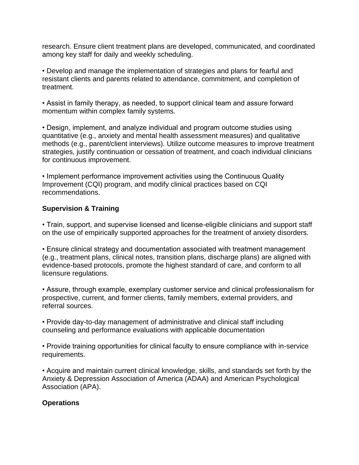research. Ensure client treatment plans are developed, communicated, and coordinated among key staff for daily and weekly scheduling.

• Develop and manage the implementation of strategies and plans for fearful and resistant clients and parents related to attendance, commitment, and completion of treatment.

• Assist in family therapy, as needed, to support clinical team and assure forward momentum within complex family systems.

• Design, implement, and analyze individual and program outcome studies using quantitative (e.g., anxiety and mental health assessment measures) and qualitative methods (e.g., parent/client interviews). Utilize outcome measures to improve treatment strategies, justify continuation or cessation of treatment, and coach individual clinicians for continuous improvement.

• Implement performance improvement activities using the Continuous Quality Improvement (CQI) program, and modify clinical practices based on CQI recommendations.

## **Supervision & Training**

• Train, support, and supervise licensed and license-eligible clinicians and support staff on the use of empirically supported approaches for the treatment of anxiety disorders.

• Ensure clinical strategy and documentation associated with treatment management (e.g., treatment plans, clinical notes, transition plans, discharge plans) are aligned with evidence-based protocols, promote the highest standard of care, and conform to all licensure regulations.

• Assure, through example, exemplary customer service and clinical professionalism for prospective, current, and former clients, family members, external providers, and referral sources.

• Provide day-to-day management of administrative and clinical staff including counseling and performance evaluations with applicable documentation

• Provide training opportunities for clinical faculty to ensure compliance with in-service requirements.

• Acquire and maintain current clinical knowledge, skills, and standards set forth by the Anxiety & Depression Association of America (ADAA) and American Psychological Association (APA).

## **Operations**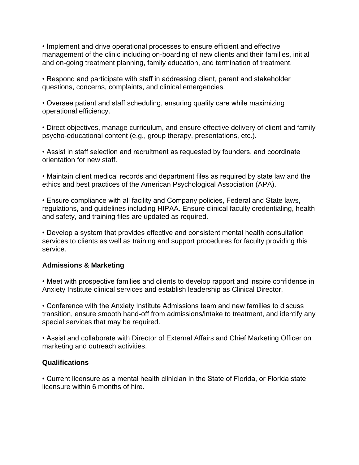• Implement and drive operational processes to ensure efficient and effective management of the clinic including on-boarding of new clients and their families, initial and on-going treatment planning, family education, and termination of treatment.

• Respond and participate with staff in addressing client, parent and stakeholder questions, concerns, complaints, and clinical emergencies.

• Oversee patient and staff scheduling, ensuring quality care while maximizing operational efficiency.

• Direct objectives, manage curriculum, and ensure effective delivery of client and family psycho-educational content (e.g., group therapy, presentations, etc.).

• Assist in staff selection and recruitment as requested by founders, and coordinate orientation for new staff.

• Maintain client medical records and department files as required by state law and the ethics and best practices of the American Psychological Association (APA).

• Ensure compliance with all facility and Company policies, Federal and State laws, regulations, and guidelines including HIPAA. Ensure clinical faculty credentialing, health and safety, and training files are updated as required.

• Develop a system that provides effective and consistent mental health consultation services to clients as well as training and support procedures for faculty providing this service.

## **Admissions & Marketing**

• Meet with prospective families and clients to develop rapport and inspire confidence in Anxiety Institute clinical services and establish leadership as Clinical Director.

• Conference with the Anxiety Institute Admissions team and new families to discuss transition, ensure smooth hand-off from admissions/intake to treatment, and identify any special services that may be required.

• Assist and collaborate with Director of External Affairs and Chief Marketing Officer on marketing and outreach activities.

# **Qualifications**

• Current licensure as a mental health clinician in the State of Florida, or Florida state licensure within 6 months of hire.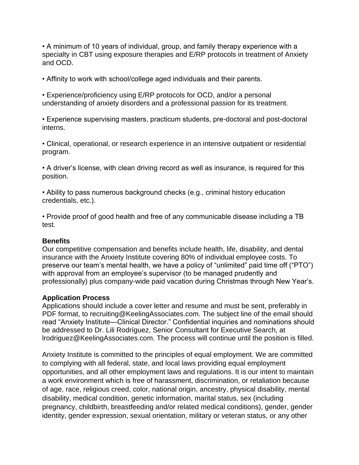• A minimum of 10 years of individual, group, and family therapy experience with a specialty in CBT using exposure therapies and E/RP protocols in treatment of Anxiety and OCD.

• Affinity to work with school/college aged individuals and their parents.

• Experience/proficiency using E/RP protocols for OCD, and/or a personal understanding of anxiety disorders and a professional passion for its treatment.

• Experience supervising masters, practicum students, pre-doctoral and post-doctoral interns.

• Clinical, operational, or research experience in an intensive outpatient or residential program.

• A driver's license, with clean driving record as well as insurance, is required for this position.

• Ability to pass numerous background checks (e.g., criminal history education credentials, etc.).

• Provide proof of good health and free of any communicable disease including a TB test.

#### **Benefits**

Our competitive compensation and benefits include health, life, disability, and dental insurance with the Anxiety Institute covering 80% of individual employee costs. To preserve our team's mental health, we have a policy of "unlimited" paid time off ("PTO") with approval from an employee's supervisor (to be managed prudently and professionally) plus company-wide paid vacation during Christmas through New Year's.

### **Application Process**

Applications should include a cover letter and resume and must be sent, preferably in PDF format, to recruiting@KeelingAssociates.com. The subject line of the email should read "Anxiety Institute—Clinical Director." Confidential inquiries and nominations should be addressed to Dr. Lili Rodríguez, Senior Consultant for Executive Search, at lrodriguez@KeelingAssociates.com. The process will continue until the position is filled.

Anxiety Institute is committed to the principles of equal employment. We are committed to complying with all federal, state, and local laws providing equal employment opportunities, and all other employment laws and regulations. It is our intent to maintain a work environment which is free of harassment, discrimination, or retaliation because of age, race, religious creed, color, national origin, ancestry, physical disability, mental disability, medical condition, genetic information, marital status, sex (including pregnancy, childbirth, breastfeeding and/or related medical conditions), gender, gender identity, gender expression, sexual orientation, military or veteran status, or any other